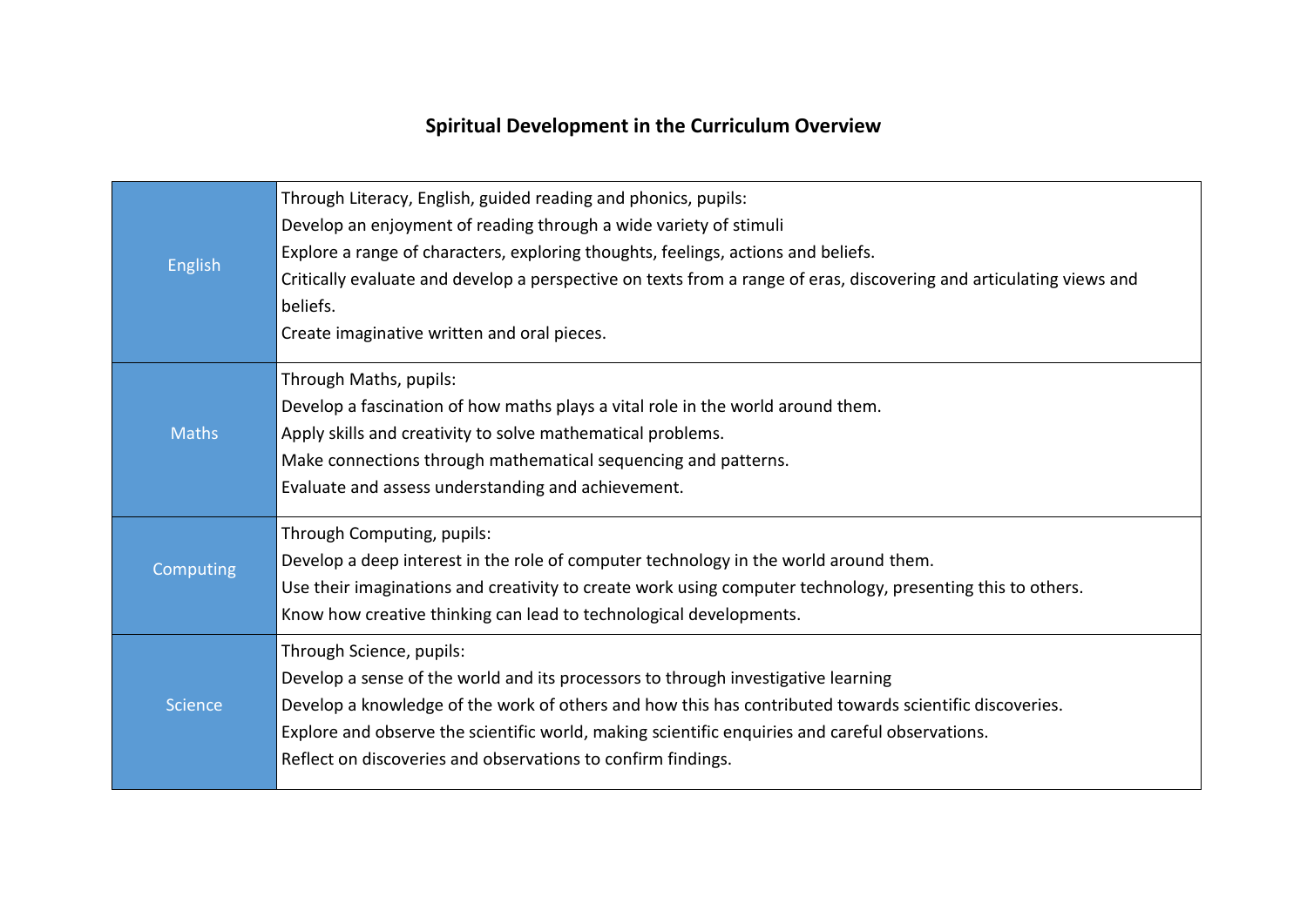## **Spiritual Development in the Curriculum Overview**

| <b>English</b> | Through Literacy, English, guided reading and phonics, pupils:<br>Develop an enjoyment of reading through a wide variety of stimuli<br>Explore a range of characters, exploring thoughts, feelings, actions and beliefs.<br>Critically evaluate and develop a perspective on texts from a range of eras, discovering and articulating views and<br>beliefs.<br>Create imaginative written and oral pieces. |
|----------------|------------------------------------------------------------------------------------------------------------------------------------------------------------------------------------------------------------------------------------------------------------------------------------------------------------------------------------------------------------------------------------------------------------|
| <b>Maths</b>   | Through Maths, pupils:<br>Develop a fascination of how maths plays a vital role in the world around them.<br>Apply skills and creativity to solve mathematical problems.<br>Make connections through mathematical sequencing and patterns.<br>Evaluate and assess understanding and achievement.                                                                                                           |
| Computing      | Through Computing, pupils:<br>Develop a deep interest in the role of computer technology in the world around them.<br>Use their imaginations and creativity to create work using computer technology, presenting this to others.<br>Know how creative thinking can lead to technological developments.                                                                                                     |
| <b>Science</b> | Through Science, pupils:<br>Develop a sense of the world and its processors to through investigative learning<br>Develop a knowledge of the work of others and how this has contributed towards scientific discoveries.<br>Explore and observe the scientific world, making scientific enquiries and careful observations.<br>Reflect on discoveries and observations to confirm findings.                 |